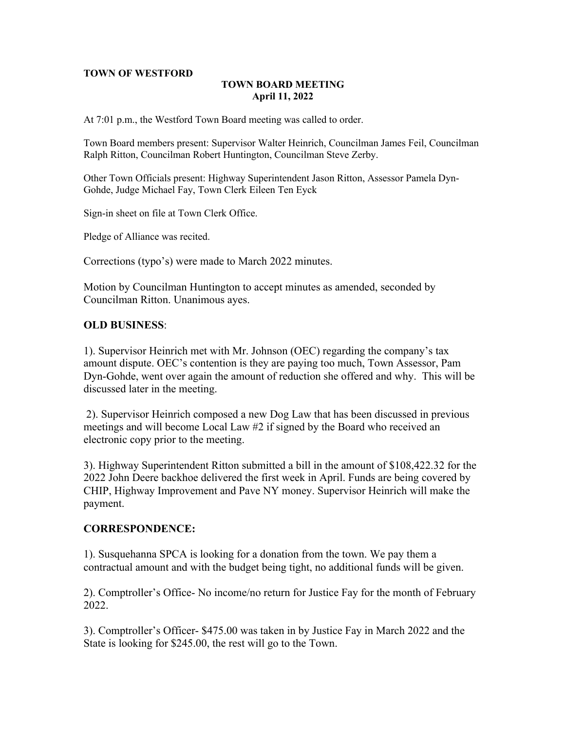## **TOWN OF WESTFORD**

# **TOWN BOARD MEETING April 11, 2022**

At 7:01 p.m., the Westford Town Board meeting was called to order.

Town Board members present: Supervisor Walter Heinrich, Councilman James Feil, Councilman Ralph Ritton, Councilman Robert Huntington, Councilman Steve Zerby.

Other Town Officials present: Highway Superintendent Jason Ritton, Assessor Pamela Dyn-Gohde, Judge Michael Fay, Town Clerk Eileen Ten Eyck

Sign-in sheet on file at Town Clerk Office.

Pledge of Alliance was recited.

Corrections (typo's) were made to March 2022 minutes.

Motion by Councilman Huntington to accept minutes as amended, seconded by Councilman Ritton. Unanimous ayes.

## **OLD BUSINESS**:

1). Supervisor Heinrich met with Mr. Johnson (OEC) regarding the company's tax amount dispute. OEC's contention is they are paying too much, Town Assessor, Pam Dyn-Gohde, went over again the amount of reduction she offered and why. This will be discussed later in the meeting.

2). Supervisor Heinrich composed a new Dog Law that has been discussed in previous meetings and will become Local Law #2 if signed by the Board who received an electronic copy prior to the meeting.

3). Highway Superintendent Ritton submitted a bill in the amount of \$108,422.32 for the 2022 John Deere backhoe delivered the first week in April. Funds are being covered by CHIP, Highway Improvement and Pave NY money. Supervisor Heinrich will make the payment.

#### **CORRESPONDENCE:**

1). Susquehanna SPCA is looking for a donation from the town. We pay them a contractual amount and with the budget being tight, no additional funds will be given.

2). Comptroller's Office- No income/no return for Justice Fay for the month of February 2022.

3). Comptroller's Officer- \$475.00 was taken in by Justice Fay in March 2022 and the State is looking for \$245.00, the rest will go to the Town.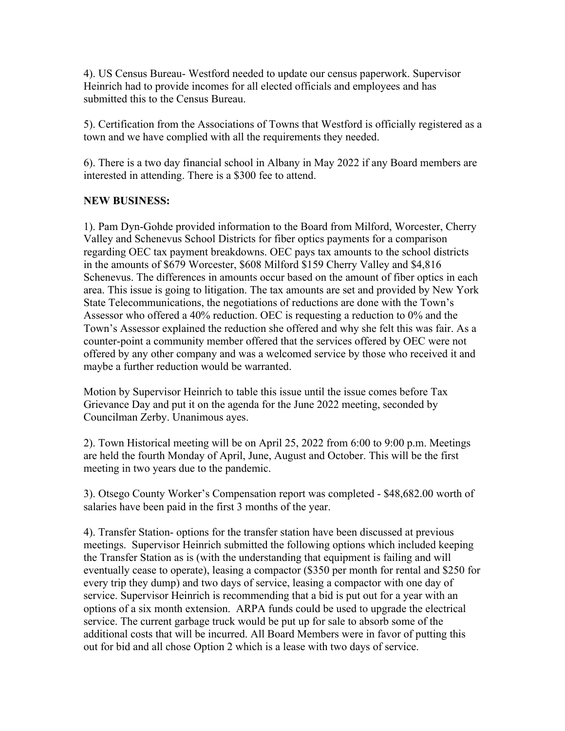4). US Census Bureau- Westford needed to update our census paperwork. Supervisor Heinrich had to provide incomes for all elected officials and employees and has submitted this to the Census Bureau.

5). Certification from the Associations of Towns that Westford is officially registered as a town and we have complied with all the requirements they needed.

6). There is a two day financial school in Albany in May 2022 if any Board members are interested in attending. There is a \$300 fee to attend.

# **NEW BUSINESS:**

1). Pam Dyn-Gohde provided information to the Board from Milford, Worcester, Cherry Valley and Schenevus School Districts for fiber optics payments for a comparison regarding OEC tax payment breakdowns. OEC pays tax amounts to the school districts in the amounts of \$679 Worcester, \$608 Milford \$159 Cherry Valley and \$4,816 Schenevus. The differences in amounts occur based on the amount of fiber optics in each area. This issue is going to litigation. The tax amounts are set and provided by New York State Telecommunications, the negotiations of reductions are done with the Town's Assessor who offered a 40% reduction. OEC is requesting a reduction to 0% and the Town's Assessor explained the reduction she offered and why she felt this was fair. As a counter-point a community member offered that the services offered by OEC were not offered by any other company and was a welcomed service by those who received it and maybe a further reduction would be warranted.

Motion by Supervisor Heinrich to table this issue until the issue comes before Tax Grievance Day and put it on the agenda for the June 2022 meeting, seconded by Councilman Zerby. Unanimous ayes.

2). Town Historical meeting will be on April 25, 2022 from 6:00 to 9:00 p.m. Meetings are held the fourth Monday of April, June, August and October. This will be the first meeting in two years due to the pandemic.

3). Otsego County Worker's Compensation report was completed - \$48,682.00 worth of salaries have been paid in the first 3 months of the year.

4). Transfer Station- options for the transfer station have been discussed at previous meetings. Supervisor Heinrich submitted the following options which included keeping the Transfer Station as is (with the understanding that equipment is failing and will eventually cease to operate), leasing a compactor (\$350 per month for rental and \$250 for every trip they dump) and two days of service, leasing a compactor with one day of service. Supervisor Heinrich is recommending that a bid is put out for a year with an options of a six month extension. ARPA funds could be used to upgrade the electrical service. The current garbage truck would be put up for sale to absorb some of the additional costs that will be incurred. All Board Members were in favor of putting this out for bid and all chose Option 2 which is a lease with two days of service.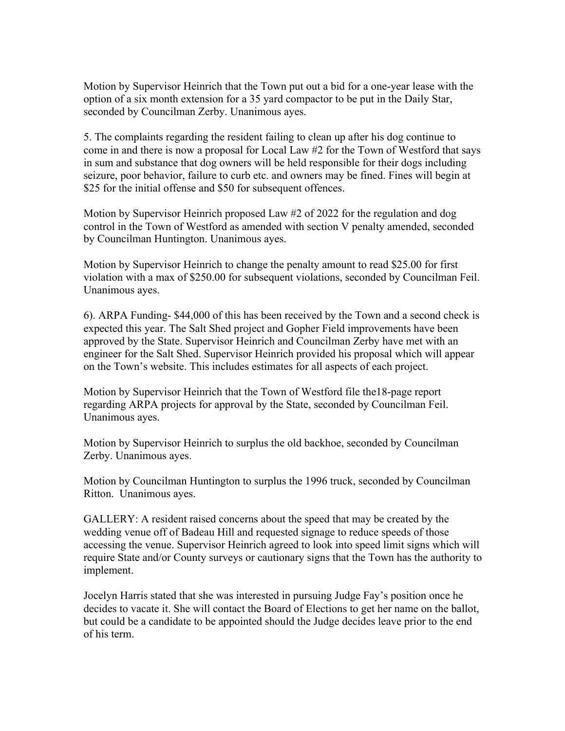Motion by Supervisor Heinrich that the Town put out a bid for a one-year lease with the option of a six month extension for a 35 yard compactor to be put in the Daily Star, seconded by Councilman Zerby. Unanimous ayes.

5. The complaints regarding the resident failing to clean up after his dog continue to come in and there is now a proposal for Local Law #2 for the Town of Westford that says in sum and substance that dog owners will be held responsible for their dogs including seizure, poor behavior, failure to curb etc. and owners may be fined. Fines will begin at \$25 for the initial offense and \$50 for subsequent offences.

Motion by Supervisor Heinrich proposed Law #2 of 2022 for the regulation and dog control in the Town of Westford as amended with section V penalty amended, seconded by Councilman Huntington. Unanimous ayes.

Motion by Supervisor Heinrich to change the penalty amount to read \$25.00 for first violation with a max of \$250.00 for subsequent violations, seconded by Councilman Feil. Unanimous ayes.

6). ARPA Funding- \$44,000 of this has been received by the Town and a second check is expected this year. The Salt Shed project and Gopher Field improvements have been approved by the State. Supervisor Heinrich and Councilman Zerby have met with an engineer for the Salt Shed. Supervisor Heinrich provided his proposal which will appear on the Town's website. This includes estimates for all aspects of each project.

Motion by Supervisor Heinrich that the Town of Westford file the18-page report regarding ARPA projects for approval by the State, seconded by Councilman Feil. Unanimous ayes.

Motion by Supervisor Heinrich to surplus the old backhoe, seconded by Councilman Zerby. Unanimous ayes.

Motion by Councilman Huntington to surplus the 1996 truck, seconded by Councilman Ritton. Unanimous ayes.

GALLERY: A resident raised concerns about the speed that may be created by the wedding venue off of Badeau Hill and requested signage to reduce speeds of those accessing the venue. Supervisor Heinrich agreed to look into speed limit signs which will require State and/or County surveys or cautionary signs that the Town has the authority to implement.

Jocelyn Harris stated that she was interested in pursuing Judge Fay's position once he decides to vacate it. She will contact the Board of Elections to get her name on the ballot, but could be a candidate to be appointed should the Judge decides leave prior to the end of his term.